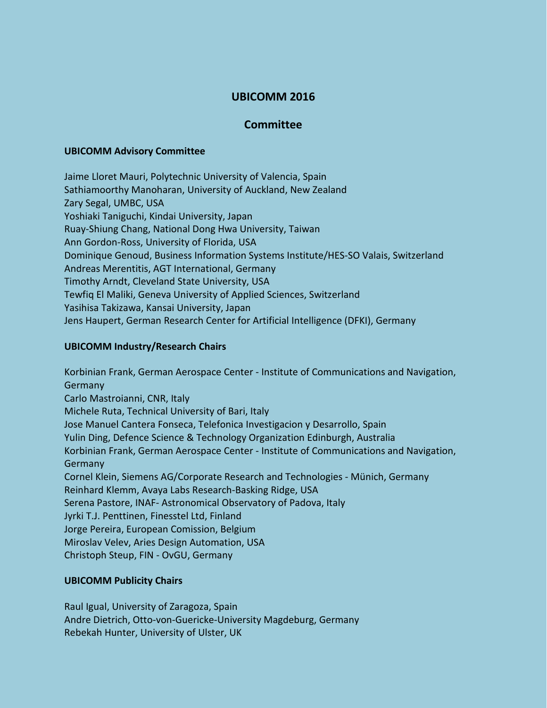# **UBICOMM 2016**

# **Committee**

#### **UBICOMM Advisory Committee**

Jaime Lloret Mauri, Polytechnic University of Valencia, Spain Sathiamoorthy Manoharan, University of Auckland, New Zealand Zary Segal, UMBC, USA Yoshiaki Taniguchi, Kindai University, Japan Ruay-Shiung Chang, National Dong Hwa University, Taiwan Ann Gordon-Ross, University of Florida, USA Dominique Genoud, Business Information Systems Institute/HES-SO Valais, Switzerland Andreas Merentitis, AGT International, Germany Timothy Arndt, Cleveland State University, USA Tewfiq El Maliki, Geneva University of Applied Sciences, Switzerland Yasihisa Takizawa, Kansai University, Japan Jens Haupert, German Research Center for Artificial Intelligence (DFKI), Germany

## **UBICOMM Industry/Research Chairs**

Korbinian Frank, German Aerospace Center - Institute of Communications and Navigation, **Germany** Carlo Mastroianni, CNR, Italy Michele Ruta, Technical University of Bari, Italy Jose Manuel Cantera Fonseca, Telefonica Investigacion y Desarrollo, Spain Yulin Ding, Defence Science & Technology Organization Edinburgh, Australia Korbinian Frank, German Aerospace Center - Institute of Communications and Navigation, Germany Cornel Klein, Siemens AG/Corporate Research and Technologies - Münich, Germany Reinhard Klemm, Avaya Labs Research-Basking Ridge, USA Serena Pastore, INAF- Astronomical Observatory of Padova, Italy Jyrki T.J. Penttinen, Finesstel Ltd, Finland Jorge Pereira, European Comission, Belgium Miroslav Velev, Aries Design Automation, USA Christoph Steup, FIN - OvGU, Germany

# **UBICOMM Publicity Chairs**

Raul Igual, University of Zaragoza, Spain Andre Dietrich, Otto-von-Guericke-University Magdeburg, Germany Rebekah Hunter, University of Ulster, UK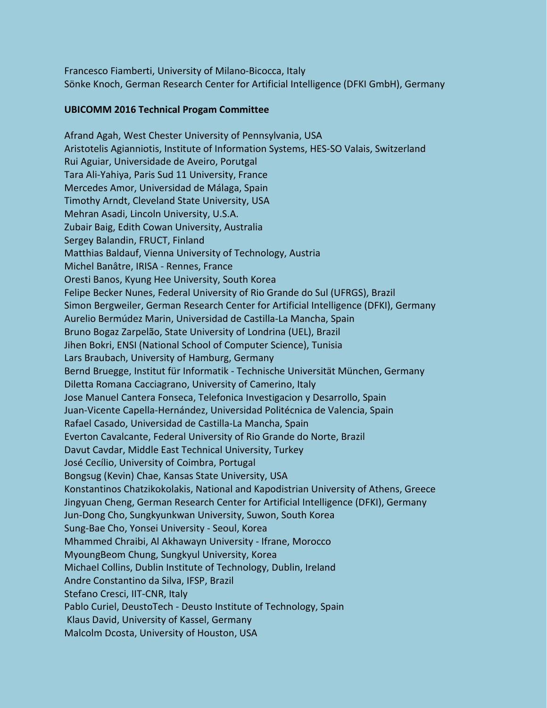Francesco Fiamberti, University of Milano-Bicocca, Italy Sönke Knoch, German Research Center for Artificial Intelligence (DFKI GmbH), Germany

### **UBICOMM 2016 Technical Progam Committee**

Afrand Agah, West Chester University of Pennsylvania, USA Aristotelis Agianniotis, Institute of Information Systems, HES-SO Valais, Switzerland Rui Aguiar, Universidade de Aveiro, Porutgal Tara Ali-Yahiya, Paris Sud 11 University, France Mercedes Amor, Universidad de Málaga, Spain Timothy Arndt, Cleveland State University, USA Mehran Asadi, Lincoln University, U.S.A. Zubair Baig, Edith Cowan University, Australia Sergey Balandin, FRUCT, Finland Matthias Baldauf, Vienna University of Technology, Austria Michel Banâtre, IRISA - Rennes, France Oresti Banos, Kyung Hee University, South Korea Felipe Becker Nunes, Federal University of Rio Grande do Sul (UFRGS), Brazil Simon Bergweiler, German Research Center for Artificial Intelligence (DFKI), Germany Aurelio Bermúdez Marin, Universidad de Castilla-La Mancha, Spain Bruno Bogaz Zarpelão, State University of Londrina (UEL), Brazil Jihen Bokri, ENSI (National School of Computer Science), Tunisia Lars Braubach, University of Hamburg, Germany Bernd Bruegge, Institut für Informatik - Technische Universität München, Germany Diletta Romana Cacciagrano, University of Camerino, Italy Jose Manuel Cantera Fonseca, Telefonica Investigacion y Desarrollo, Spain Juan-Vicente Capella-Hernández, Universidad Politécnica de Valencia, Spain Rafael Casado, Universidad de Castilla-La Mancha, Spain Everton Cavalcante, Federal University of Rio Grande do Norte, Brazil Davut Cavdar, Middle East Technical University, Turkey José Cecílio, University of Coimbra, Portugal Bongsug (Kevin) Chae, Kansas State University, USA Konstantinos Chatzikokolakis, National and Kapodistrian University of Athens, Greece Jingyuan Cheng, German Research Center for Artificial Intelligence (DFKI), Germany Jun-Dong Cho, Sungkyunkwan University, Suwon, South Korea Sung-Bae Cho, Yonsei University - Seoul, Korea Mhammed Chraibi, Al Akhawayn University - Ifrane, Morocco MyoungBeom Chung, Sungkyul University, Korea Michael Collins, Dublin Institute of Technology, Dublin, Ireland Andre Constantino da Silva, IFSP, Brazil Stefano Cresci, IIT-CNR, Italy Pablo Curiel, DeustoTech - Deusto Institute of Technology, Spain Klaus David, University of Kassel, Germany Malcolm Dcosta, University of Houston, USA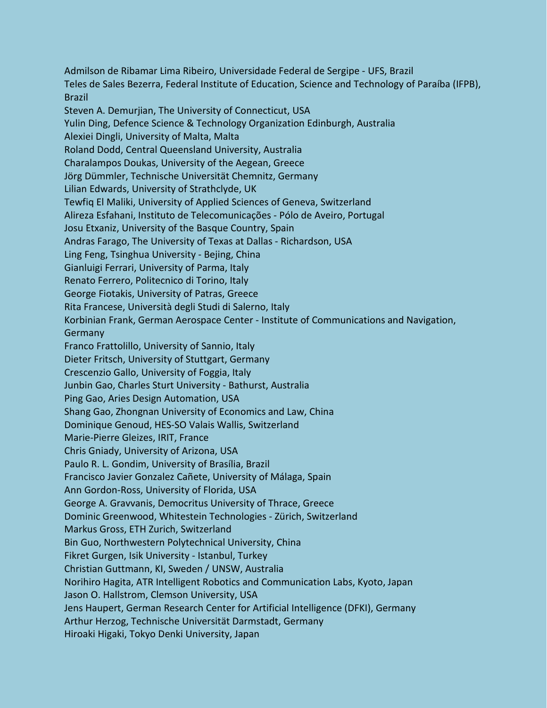Admilson de Ribamar Lima Ribeiro, Universidade Federal de Sergipe - UFS, Brazil Teles de Sales Bezerra, Federal Institute of Education, Science and Technology of Paraíba (IFPB), Brazil Steven A. Demurjian, The University of Connecticut, USA Yulin Ding, Defence Science & Technology Organization Edinburgh, Australia Alexiei Dingli, University of Malta, Malta Roland Dodd, Central Queensland University, Australia Charalampos Doukas, University of the Aegean, Greece Jörg Dümmler, Technische Universität Chemnitz, Germany Lilian Edwards, University of Strathclyde, UK Tewfiq El Maliki, University of Applied Sciences of Geneva, Switzerland Alireza Esfahani, Instituto de Telecomunicações - Pólo de Aveiro, Portugal Josu Etxaniz, University of the Basque Country, Spain Andras Farago, The University of Texas at Dallas - Richardson, USA Ling Feng, Tsinghua University - Bejing, China Gianluigi Ferrari, University of Parma, Italy Renato Ferrero, Politecnico di Torino, Italy George Fiotakis, University of Patras, Greece Rita Francese, Università degli Studi di Salerno, Italy Korbinian Frank, German Aerospace Center - Institute of Communications and Navigation, Germany Franco Frattolillo, University of Sannio, Italy Dieter Fritsch, University of Stuttgart, Germany Crescenzio Gallo, University of Foggia, Italy Junbin Gao, Charles Sturt University - Bathurst, Australia Ping Gao, Aries Design Automation, USA Shang Gao, Zhongnan University of Economics and Law, China Dominique Genoud, HES-SO Valais Wallis, Switzerland Marie-Pierre Gleizes, IRIT, France Chris Gniady, University of Arizona, USA Paulo R. L. Gondim, University of Brasília, Brazil Francisco Javier Gonzalez Cañete, University of Málaga, Spain Ann Gordon-Ross, University of Florida, USA George A. Gravvanis, Democritus University of Thrace, Greece Dominic Greenwood, Whitestein Technologies - Zürich, Switzerland Markus Gross, ETH Zurich, Switzerland Bin Guo, Northwestern Polytechnical University, China Fikret Gurgen, Isik University - Istanbul, Turkey Christian Guttmann, KI, Sweden / UNSW, Australia Norihiro Hagita, ATR Intelligent Robotics and Communication Labs, Kyoto, Japan Jason O. Hallstrom, Clemson University, USA Jens Haupert, German Research Center for Artificial Intelligence (DFKI), Germany Arthur Herzog, Technische Universität Darmstadt, Germany Hiroaki Higaki, Tokyo Denki University, Japan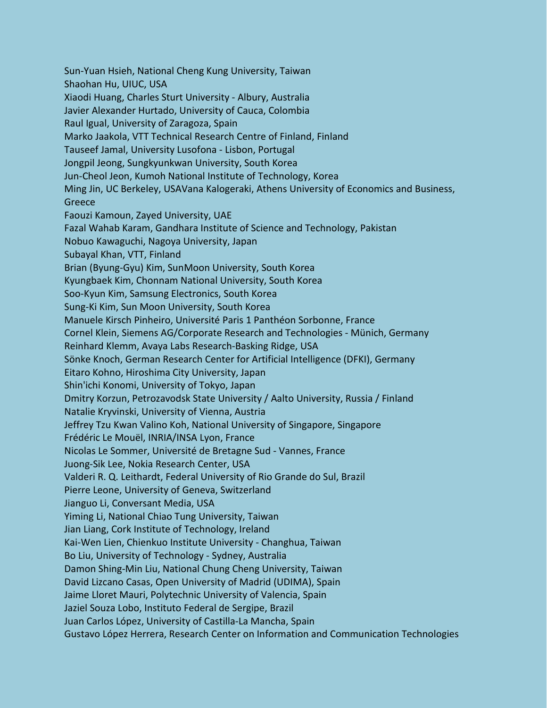Sun-Yuan Hsieh, National Cheng Kung University, Taiwan Shaohan Hu, UIUC, USA Xiaodi Huang, Charles Sturt University - Albury, Australia Javier Alexander Hurtado, University of Cauca, Colombia Raul Igual, University of Zaragoza, Spain Marko Jaakola, VTT Technical Research Centre of Finland, Finland Tauseef Jamal, University Lusofona - Lisbon, Portugal Jongpil Jeong, Sungkyunkwan University, South Korea Jun-Cheol Jeon, Kumoh National Institute of Technology, Korea Ming Jin, UC Berkeley, USAVana Kalogeraki, Athens University of Economics and Business, Greece Faouzi Kamoun, Zayed University, UAE Fazal Wahab Karam, Gandhara Institute of Science and Technology, Pakistan Nobuo Kawaguchi, Nagoya University, Japan Subayal Khan, VTT, Finland Brian (Byung-Gyu) Kim, SunMoon University, South Korea Kyungbaek Kim, Chonnam National University, South Korea Soo-Kyun Kim, Samsung Electronics, South Korea Sung-Ki Kim, Sun Moon University, South Korea Manuele Kirsch Pinheiro, Université Paris 1 Panthéon Sorbonne, France Cornel Klein, Siemens AG/Corporate Research and Technologies - Münich, Germany Reinhard Klemm, Avaya Labs Research-Basking Ridge, USA Sönke Knoch, German Research Center for Artificial Intelligence (DFKI), Germany Eitaro Kohno, Hiroshima City University, Japan Shin'ichi Konomi, University of Tokyo, Japan Dmitry Korzun, Petrozavodsk State University / Aalto University, Russia / Finland Natalie Kryvinski, University of Vienna, Austria Jeffrey Tzu Kwan Valino Koh, National University of Singapore, Singapore Frédéric Le Mouël, INRIA/INSA Lyon, France Nicolas Le Sommer, Université de Bretagne Sud - Vannes, France Juong-Sik Lee, Nokia Research Center, USA Valderi R. Q. Leithardt, Federal University of Rio Grande do Sul, Brazil Pierre Leone, University of Geneva, Switzerland Jianguo Li, Conversant Media, USA Yiming Li, National Chiao Tung University, Taiwan Jian Liang, Cork Institute of Technology, Ireland Kai-Wen Lien, Chienkuo Institute University - Changhua, Taiwan Bo Liu, University of Technology - Sydney, Australia Damon Shing-Min Liu, National Chung Cheng University, Taiwan David Lizcano Casas, Open University of Madrid (UDIMA), Spain Jaime Lloret Mauri, Polytechnic University of Valencia, Spain Jaziel Souza Lobo, Instituto Federal de Sergipe, Brazil Juan Carlos López, University of Castilla-La Mancha, Spain Gustavo López Herrera, Research Center on Information and Communication Technologies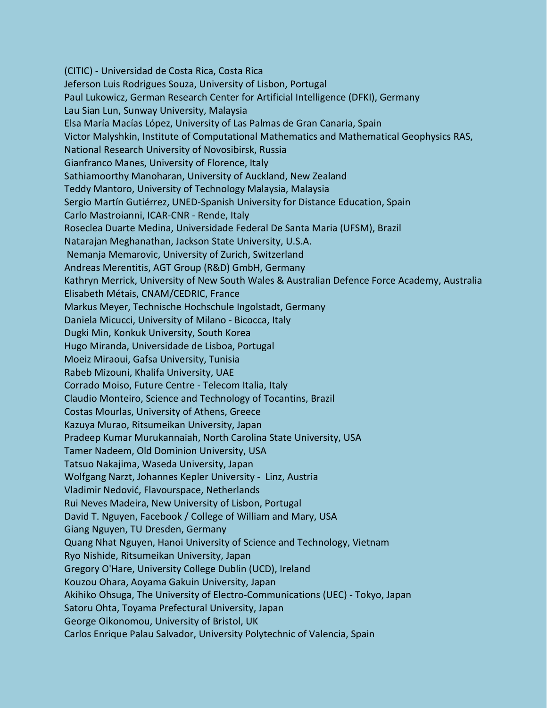(CITIC) - Universidad de Costa Rica, Costa Rica Jeferson Luis Rodrigues Souza, University of Lisbon, Portugal Paul Lukowicz, German Research Center for Artificial Intelligence (DFKI), Germany Lau Sian Lun, Sunway University, Malaysia Elsa María Macías López, University of Las Palmas de Gran Canaria, Spain Victor Malyshkin, Institute of Computational Mathematics and Mathematical Geophysics RAS, National Research University of Novosibirsk, Russia Gianfranco Manes, University of Florence, Italy Sathiamoorthy Manoharan, University of Auckland, New Zealand Teddy Mantoro, University of Technology Malaysia, Malaysia Sergio Martín Gutiérrez, UNED-Spanish University for Distance Education, Spain Carlo Mastroianni, ICAR-CNR - Rende, Italy Roseclea Duarte Medina, Universidade Federal De Santa Maria (UFSM), Brazil Natarajan Meghanathan, Jackson State University, U.S.A. Nemanja Memarovic, University of Zurich, Switzerland Andreas Merentitis, AGT Group (R&D) GmbH, Germany Kathryn Merrick, University of New South Wales & Australian Defence Force Academy, Australia Elisabeth Métais, CNAM/CEDRIC, France Markus Meyer, Technische Hochschule Ingolstadt, Germany Daniela Micucci, University of Milano - Bicocca, Italy Dugki Min, Konkuk University, South Korea Hugo Miranda, Universidade de Lisboa, Portugal Moeiz Miraoui, Gafsa University, Tunisia Rabeb Mizouni, Khalifa University, UAE Corrado Moiso, Future Centre - Telecom Italia, Italy Claudio Monteiro, Science and Technology of Tocantins, Brazil Costas Mourlas, University of Athens, Greece Kazuya Murao, Ritsumeikan University, Japan Pradeep Kumar Murukannaiah, North Carolina State University, USA Tamer Nadeem, Old Dominion University, USA Tatsuo Nakajima, Waseda University, Japan Wolfgang Narzt, Johannes Kepler University - Linz, Austria Vladimir Nedović, Flavourspace, Netherlands Rui Neves Madeira, New University of Lisbon, Portugal David T. Nguyen, Facebook / College of William and Mary, USA Giang Nguyen, TU Dresden, Germany Quang Nhat Nguyen, Hanoi University of Science and Technology, Vietnam Ryo Nishide, Ritsumeikan University, Japan Gregory O'Hare, University College Dublin (UCD), Ireland Kouzou Ohara, Aoyama Gakuin University, Japan Akihiko Ohsuga, The University of Electro-Communications (UEC) - Tokyo, Japan Satoru Ohta, Toyama Prefectural University, Japan George Oikonomou, University of Bristol, UK Carlos Enrique Palau Salvador, University Polytechnic of Valencia, Spain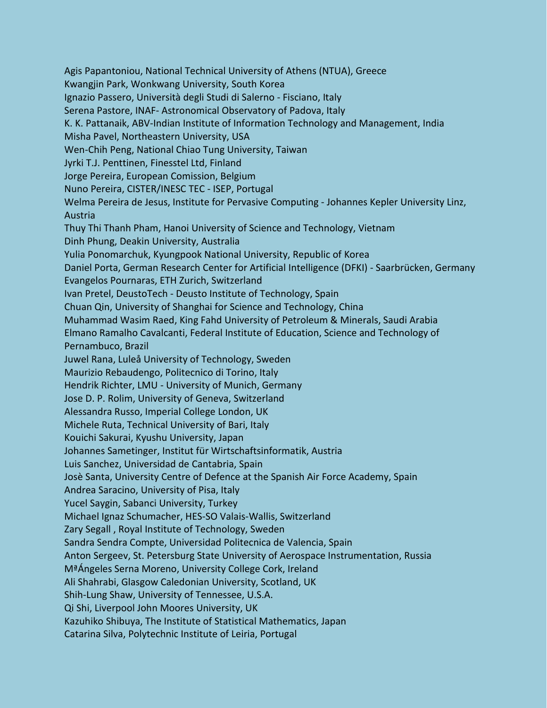Agis Papantoniou, National Technical University of Athens (NTUA), Greece Kwangjin Park, Wonkwang University, South Korea Ignazio Passero, Università degli Studi di Salerno - Fisciano, Italy Serena Pastore, INAF- Astronomical Observatory of Padova, Italy K. K. Pattanaik, ABV-Indian Institute of Information Technology and Management, India Misha Pavel, Northeastern University, USA Wen-Chih Peng, National Chiao Tung University, Taiwan Jyrki T.J. Penttinen, Finesstel Ltd, Finland Jorge Pereira, European Comission, Belgium Nuno Pereira, CISTER/INESC TEC - ISEP, Portugal Welma Pereira de Jesus, Institute for Pervasive Computing - Johannes Kepler University Linz, Austria Thuy Thi Thanh Pham, Hanoi University of Science and Technology, Vietnam Dinh Phung, Deakin University, Australia Yulia Ponomarchuk, Kyungpook National University, Republic of Korea Daniel Porta, German Research Center for Artificial Intelligence (DFKI) - Saarbrücken, Germany Evangelos Pournaras, ETH Zurich, Switzerland Ivan Pretel, DeustoTech - Deusto Institute of Technology, Spain Chuan Qin, University of Shanghai for Science and Technology, China Muhammad Wasim Raed, King Fahd University of Petroleum & Minerals, Saudi Arabia Elmano Ramalho Cavalcanti, Federal Institute of Education, Science and Technology of Pernambuco, Brazil Juwel Rana, Luleå University of Technology, Sweden Maurizio Rebaudengo, Politecnico di Torino, Italy Hendrik Richter, LMU - University of Munich, Germany Jose D. P. Rolim, University of Geneva, Switzerland Alessandra Russo, Imperial College London, UK Michele Ruta, Technical University of Bari, Italy Kouichi Sakurai, Kyushu University, Japan Johannes Sametinger, Institut für Wirtschaftsinformatik, Austria Luis Sanchez, Universidad de Cantabria, Spain Josè Santa, University Centre of Defence at the Spanish Air Force Academy, Spain Andrea Saracino, University of Pisa, Italy Yucel Saygin, Sabanci University, Turkey Michael Ignaz Schumacher, HES-SO Valais-Wallis, Switzerland Zary Segall , Royal Institute of Technology, Sweden Sandra Sendra Compte, Universidad Politecnica de Valencia, Spain Anton Sergeev, St. Petersburg State University of Aerospace Instrumentation, Russia MªÁngeles Serna Moreno, University College Cork, Ireland Ali Shahrabi, Glasgow Caledonian University, Scotland, UK Shih-Lung Shaw, University of Tennessee, U.S.A. Qi Shi, Liverpool John Moores University, UK Kazuhiko Shibuya, The Institute of Statistical Mathematics, Japan Catarina Silva, Polytechnic Institute of Leiria, Portugal